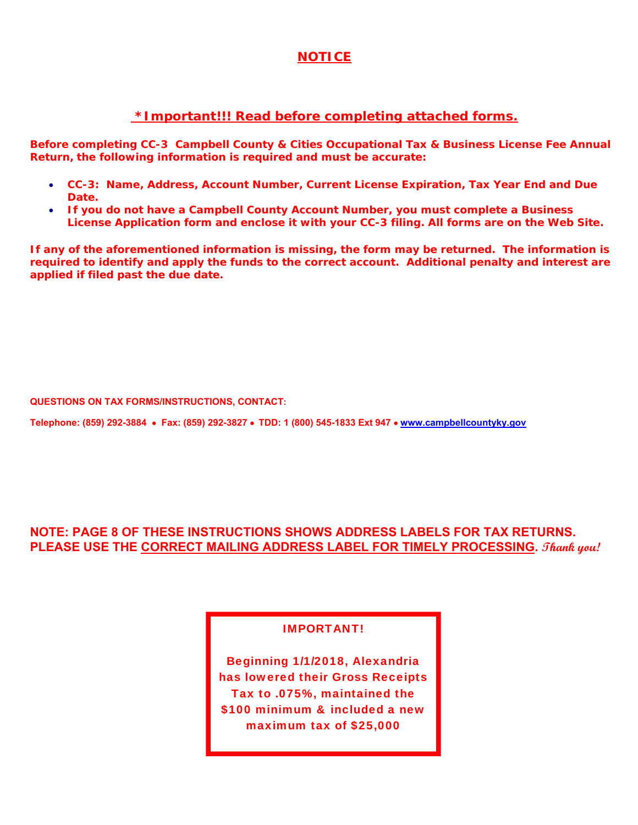# **NOTICE**

# **\*Important!!! Read before completing attached forms.**

**Before completing** *CC-3 Campbell County & Cities Occupational Tax & Business License Fee Annual Return,* **the following information is required and must be accurate:**

- **CC-3: Name, Address, Account Number, Current License Expiration, Tax Year End and Due Date.**
- **If you do not have a Campbell County Account Number, you must complete a Business License Application form and enclose it with your CC-3 filing. All forms are on the Web Site.**

**If any of the aforementioned information is missing, the form may be returned. The information is required to identify and apply the funds to the correct account. Additional penalty and interest are applied if filed past the due date.**

**QUESTIONS ON TAX FORMS/INSTRUCTIONS, CONTACT:** 

**Telephone: (859) 292-3884 Fax: (859) 292-3827 TDD: 1 (800) 545-1833 Ext 947 www.campbellcountyky.gov**

# **NOTE: PAGE 8 OF THESE INSTRUCTIONS SHOWS ADDRESS LABELS FOR TAX RETURNS. PLEASE USE THE CORRECT MAILING ADDRESS LABEL FOR TIMELY PROCESSING. Thank you!**

## IMPORTANT!

Beginning 1/1/2018, Alexandria has lowered their Gross Receipts Tax to .075%, maintained the \$100 minimum & included a new maximum tax of \$25,000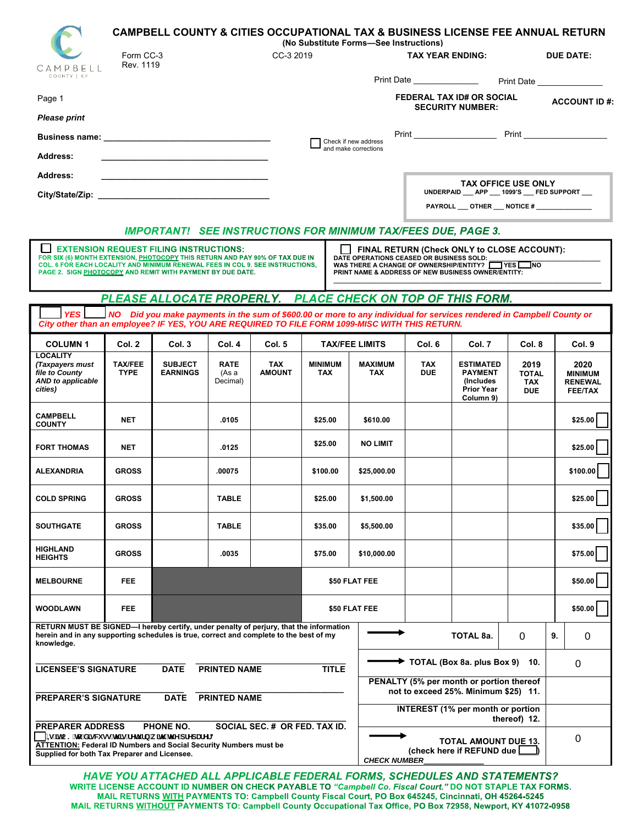|                                                                                                                                                                                                                                                                                                                                                                                                                                                                                  |                                   |                                                                                                    |                                                      |                                                                                                                                                                                                                                                                                                                                   | <b>CAMPBELL COUNTY &amp; CITIES OCCUPATIONAL TAX &amp; BUSINESS LICENSE FEE ANNUAL RETURN</b> |                                                                                                         |                                                                                                                                                       |                                                                                                                                                                                                                                                            |                                                                                                                                                                                                                                                                                                                                                                                                                                                                                                                           |
|----------------------------------------------------------------------------------------------------------------------------------------------------------------------------------------------------------------------------------------------------------------------------------------------------------------------------------------------------------------------------------------------------------------------------------------------------------------------------------|-----------------------------------|----------------------------------------------------------------------------------------------------|------------------------------------------------------|-----------------------------------------------------------------------------------------------------------------------------------------------------------------------------------------------------------------------------------------------------------------------------------------------------------------------------------|-----------------------------------------------------------------------------------------------|---------------------------------------------------------------------------------------------------------|-------------------------------------------------------------------------------------------------------------------------------------------------------|------------------------------------------------------------------------------------------------------------------------------------------------------------------------------------------------------------------------------------------------------------|---------------------------------------------------------------------------------------------------------------------------------------------------------------------------------------------------------------------------------------------------------------------------------------------------------------------------------------------------------------------------------------------------------------------------------------------------------------------------------------------------------------------------|
|                                                                                                                                                                                                                                                                                                                                                                                                                                                                                  |                                   |                                                                                                    |                                                      |                                                                                                                                                                                                                                                                                                                                   |                                                                                               |                                                                                                         |                                                                                                                                                       |                                                                                                                                                                                                                                                            | <b>DUE DATE:</b>                                                                                                                                                                                                                                                                                                                                                                                                                                                                                                          |
|                                                                                                                                                                                                                                                                                                                                                                                                                                                                                  |                                   |                                                                                                    |                                                      |                                                                                                                                                                                                                                                                                                                                   |                                                                                               |                                                                                                         |                                                                                                                                                       |                                                                                                                                                                                                                                                            | Print Date                                                                                                                                                                                                                                                                                                                                                                                                                                                                                                                |
|                                                                                                                                                                                                                                                                                                                                                                                                                                                                                  |                                   |                                                                                                    |                                                      |                                                                                                                                                                                                                                                                                                                                   |                                                                                               |                                                                                                         |                                                                                                                                                       |                                                                                                                                                                                                                                                            | <b>ACCOUNT ID#:</b>                                                                                                                                                                                                                                                                                                                                                                                                                                                                                                       |
|                                                                                                                                                                                                                                                                                                                                                                                                                                                                                  |                                   |                                                                                                    |                                                      |                                                                                                                                                                                                                                                                                                                                   |                                                                                               |                                                                                                         |                                                                                                                                                       |                                                                                                                                                                                                                                                            |                                                                                                                                                                                                                                                                                                                                                                                                                                                                                                                           |
|                                                                                                                                                                                                                                                                                                                                                                                                                                                                                  |                                   |                                                                                                    |                                                      |                                                                                                                                                                                                                                                                                                                                   |                                                                                               |                                                                                                         |                                                                                                                                                       |                                                                                                                                                                                                                                                            |                                                                                                                                                                                                                                                                                                                                                                                                                                                                                                                           |
|                                                                                                                                                                                                                                                                                                                                                                                                                                                                                  |                                   |                                                                                                    |                                                      |                                                                                                                                                                                                                                                                                                                                   |                                                                                               |                                                                                                         |                                                                                                                                                       |                                                                                                                                                                                                                                                            |                                                                                                                                                                                                                                                                                                                                                                                                                                                                                                                           |
|                                                                                                                                                                                                                                                                                                                                                                                                                                                                                  |                                   |                                                                                                    |                                                      |                                                                                                                                                                                                                                                                                                                                   |                                                                                               |                                                                                                         |                                                                                                                                                       |                                                                                                                                                                                                                                                            |                                                                                                                                                                                                                                                                                                                                                                                                                                                                                                                           |
|                                                                                                                                                                                                                                                                                                                                                                                                                                                                                  |                                   |                                                                                                    |                                                      |                                                                                                                                                                                                                                                                                                                                   |                                                                                               |                                                                                                         |                                                                                                                                                       |                                                                                                                                                                                                                                                            |                                                                                                                                                                                                                                                                                                                                                                                                                                                                                                                           |
|                                                                                                                                                                                                                                                                                                                                                                                                                                                                                  |                                   |                                                                                                    |                                                      |                                                                                                                                                                                                                                                                                                                                   |                                                                                               |                                                                                                         |                                                                                                                                                       |                                                                                                                                                                                                                                                            |                                                                                                                                                                                                                                                                                                                                                                                                                                                                                                                           |
| $\Box$ EXTENSION REQUEST FILING INSTRUCTIONS:<br>FINAL RETURN (Check ONLY to CLOSE ACCOUNT):<br>FOR SIX (6) MONTH EXTENSION, PHOTOCOPY THIS RETURN AND PAY 90% OF TAX DUE IN<br>DATE OPERATIONS CEASED OR BUSINESS SOLD:<br>COL. 6 FOR EACH LOCALITY AND MINIMUM RENEWAL FEES IN COL 9. SEE INSTRUCTIONS.<br>WAS THERE A CHANGE OF OWNERSHIP/ENTITY? THES NO<br>PAGE 2. SIGN PHOTOCOPY AND REMIT WITH PAYMENT BY DUE DATE.<br>PRINT NAME & ADDRESS OF NEW BUSINESS OWNER/ENTITY: |                                   |                                                                                                    |                                                      |                                                                                                                                                                                                                                                                                                                                   |                                                                                               |                                                                                                         |                                                                                                                                                       |                                                                                                                                                                                                                                                            |                                                                                                                                                                                                                                                                                                                                                                                                                                                                                                                           |
|                                                                                                                                                                                                                                                                                                                                                                                                                                                                                  |                                   |                                                                                                    |                                                      |                                                                                                                                                                                                                                                                                                                                   |                                                                                               |                                                                                                         |                                                                                                                                                       |                                                                                                                                                                                                                                                            |                                                                                                                                                                                                                                                                                                                                                                                                                                                                                                                           |
|                                                                                                                                                                                                                                                                                                                                                                                                                                                                                  |                                   |                                                                                                    |                                                      |                                                                                                                                                                                                                                                                                                                                   |                                                                                               |                                                                                                         |                                                                                                                                                       |                                                                                                                                                                                                                                                            |                                                                                                                                                                                                                                                                                                                                                                                                                                                                                                                           |
| Col. 2                                                                                                                                                                                                                                                                                                                                                                                                                                                                           | Col. 3                            | Col. 4                                                                                             | Col. 5                                               |                                                                                                                                                                                                                                                                                                                                   |                                                                                               | Col. 6                                                                                                  | Col. 7                                                                                                                                                | Col. 8                                                                                                                                                                                                                                                     | Col. 9                                                                                                                                                                                                                                                                                                                                                                                                                                                                                                                    |
| <b>TAX/FEE</b><br><b>TYPE</b>                                                                                                                                                                                                                                                                                                                                                                                                                                                    | <b>SUBJECT</b><br><b>EARNINGS</b> | <b>RATE</b><br>(As a<br>Decimal)                                                                   | <b>TAX</b><br><b>AMOUNT</b>                          | <b>MINIMUM</b><br><b>TAX</b>                                                                                                                                                                                                                                                                                                      | <b>TAX</b>                                                                                    | <b>TAX</b><br><b>DUE</b>                                                                                | <b>ESTIMATED</b><br><b>PAYMENT</b><br>(Includes)<br><b>Prior Year</b><br>Column 9)                                                                    | 2019<br><b>TOTAL</b><br><b>TAX</b><br><b>DUE</b>                                                                                                                                                                                                           | 2020<br><b>MINIMUM</b><br><b>RENEWAL</b><br><b>FEE/TAX</b>                                                                                                                                                                                                                                                                                                                                                                                                                                                                |
| <b>NET</b>                                                                                                                                                                                                                                                                                                                                                                                                                                                                       |                                   | .0105                                                                                              |                                                      | \$25.00                                                                                                                                                                                                                                                                                                                           | \$610.00                                                                                      |                                                                                                         |                                                                                                                                                       |                                                                                                                                                                                                                                                            | \$25.00                                                                                                                                                                                                                                                                                                                                                                                                                                                                                                                   |
| <b>NET</b>                                                                                                                                                                                                                                                                                                                                                                                                                                                                       |                                   | .0125                                                                                              |                                                      | \$25.00                                                                                                                                                                                                                                                                                                                           |                                                                                               |                                                                                                         |                                                                                                                                                       |                                                                                                                                                                                                                                                            | \$25.00                                                                                                                                                                                                                                                                                                                                                                                                                                                                                                                   |
| <b>GROSS</b>                                                                                                                                                                                                                                                                                                                                                                                                                                                                     |                                   | .00075                                                                                             |                                                      | \$100.00                                                                                                                                                                                                                                                                                                                          |                                                                                               |                                                                                                         |                                                                                                                                                       |                                                                                                                                                                                                                                                            | \$100.00                                                                                                                                                                                                                                                                                                                                                                                                                                                                                                                  |
| <b>GROSS</b>                                                                                                                                                                                                                                                                                                                                                                                                                                                                     |                                   | <b>TABLE</b>                                                                                       |                                                      | \$25.00                                                                                                                                                                                                                                                                                                                           |                                                                                               |                                                                                                         |                                                                                                                                                       |                                                                                                                                                                                                                                                            | \$25.00                                                                                                                                                                                                                                                                                                                                                                                                                                                                                                                   |
| <b>GROSS</b>                                                                                                                                                                                                                                                                                                                                                                                                                                                                     |                                   | <b>TABLE</b>                                                                                       |                                                      | \$35.00                                                                                                                                                                                                                                                                                                                           |                                                                                               |                                                                                                         |                                                                                                                                                       |                                                                                                                                                                                                                                                            | \$35.00                                                                                                                                                                                                                                                                                                                                                                                                                                                                                                                   |
| <b>GROSS</b>                                                                                                                                                                                                                                                                                                                                                                                                                                                                     |                                   | .0035                                                                                              |                                                      | \$75.00                                                                                                                                                                                                                                                                                                                           |                                                                                               |                                                                                                         |                                                                                                                                                       |                                                                                                                                                                                                                                                            | \$75.00                                                                                                                                                                                                                                                                                                                                                                                                                                                                                                                   |
| <b>FEE</b>                                                                                                                                                                                                                                                                                                                                                                                                                                                                       |                                   |                                                                                                    |                                                      |                                                                                                                                                                                                                                                                                                                                   |                                                                                               |                                                                                                         |                                                                                                                                                       |                                                                                                                                                                                                                                                            | \$50.00                                                                                                                                                                                                                                                                                                                                                                                                                                                                                                                   |
| <b>FEE</b>                                                                                                                                                                                                                                                                                                                                                                                                                                                                       |                                   |                                                                                                    |                                                      |                                                                                                                                                                                                                                                                                                                                   |                                                                                               |                                                                                                         |                                                                                                                                                       |                                                                                                                                                                                                                                                            | \$50.00                                                                                                                                                                                                                                                                                                                                                                                                                                                                                                                   |
| RETURN MUST BE SIGNED-I hereby certify, under penalty of perjury, that the information<br>herein and in any supporting schedules is true, correct and complete to the best of my<br><b>TOTAL 8a.</b><br>$\mathbf 0$<br>9.<br>0<br>knowledge.                                                                                                                                                                                                                                     |                                   |                                                                                                    |                                                      |                                                                                                                                                                                                                                                                                                                                   |                                                                                               |                                                                                                         |                                                                                                                                                       |                                                                                                                                                                                                                                                            |                                                                                                                                                                                                                                                                                                                                                                                                                                                                                                                           |
| TOTAL (Box 8a. plus Box 9) 10.<br>0<br><b>LICENSEE'S SIGNATURE</b><br><b>DATE</b><br><b>PRINTED NAME</b><br><b>TITLE</b>                                                                                                                                                                                                                                                                                                                                                         |                                   |                                                                                                    |                                                      |                                                                                                                                                                                                                                                                                                                                   |                                                                                               |                                                                                                         |                                                                                                                                                       |                                                                                                                                                                                                                                                            |                                                                                                                                                                                                                                                                                                                                                                                                                                                                                                                           |
| PENALTY (5% per month or portion thereof<br>not to exceed 25%. Minimum \$25) 11.                                                                                                                                                                                                                                                                                                                                                                                                 |                                   |                                                                                                    |                                                      |                                                                                                                                                                                                                                                                                                                                   |                                                                                               |                                                                                                         |                                                                                                                                                       |                                                                                                                                                                                                                                                            |                                                                                                                                                                                                                                                                                                                                                                                                                                                                                                                           |
|                                                                                                                                                                                                                                                                                                                                                                                                                                                                                  |                                   |                                                                                                    |                                                      |                                                                                                                                                                                                                                                                                                                                   |                                                                                               |                                                                                                         |                                                                                                                                                       |                                                                                                                                                                                                                                                            |                                                                                                                                                                                                                                                                                                                                                                                                                                                                                                                           |
| PREPARER ADDRESS                                                                                                                                                                                                                                                                                                                                                                                                                                                                 |                                   |                                                                                                    |                                                      |                                                                                                                                                                                                                                                                                                                                   |                                                                                               |                                                                                                         |                                                                                                                                                       |                                                                                                                                                                                                                                                            |                                                                                                                                                                                                                                                                                                                                                                                                                                                                                                                           |
|                                                                                                                                                                                                                                                                                                                                                                                                                                                                                  |                                   |                                                                                                    |                                                      |                                                                                                                                                                                                                                                                                                                                   |                                                                                               |                                                                                                         |                                                                                                                                                       |                                                                                                                                                                                                                                                            | 0                                                                                                                                                                                                                                                                                                                                                                                                                                                                                                                         |
|                                                                                                                                                                                                                                                                                                                                                                                                                                                                                  | <b>PREPARER'S SIGNATURE</b>       | Form CC-3<br>Rev. 1119<br><b>DATE</b><br>PHONE NO.<br>Supplied for both Tax Preparer and Licensee. | ∫-g ]hC? hc X]gW gg h ]g fYhi fb k ]h `h Y dfYdUfYf3 | City/State/Zip: the contract of the contract of the contract of the contract of the contract of the contract of the contract of the contract of the contract of the contract of the contract of the contract of the contract o<br><b>PRINTED NAME</b><br><b>ATTENTION: Federal ID Numbers and Social Security Numbers must be</b> | CC-3 2019<br>SOCIAL SEC. # OR FED. TAX ID.                                                    | Check if new address<br>and make corrections<br><b>TAX/FEE LIMITS</b><br>\$50 FLAT FEE<br>\$50 FLAT FEE | (No Substitute Forms-See Instructions)<br>MAXIMUM<br><b>NO LIMIT</b><br>\$25,000.00<br>\$1,500.00<br>\$5,500.00<br>\$10,000.00<br><b>CHECK NUMBER</b> | <b>TAX YEAR ENDING:</b><br>Print Date _______________<br><b>SECURITY NUMBER:</b><br><b>IMPORTANT! SEE INSTRUCTIONS FOR MINIMUM TAX/FEES DUE, PAGE 3.</b><br>City other than an employee? IF YES, YOU ARE REQUIRED TO FILE FORM 1099-MISC WITH THIS RETURN. | <b>FEDERAL TAX ID# OR SOCIAL</b><br><b>TAX OFFICE USE ONLY</b><br>UNDERPAID __ APP __ 1099'S __ FED SUPPORT __<br>PAYROLL __ OTHER __ NOTICE # _____________<br>PLEASE ALLOCATE PROPERLY. PLACE CHECK ON TOP OF THIS FORM.<br>NO Did you make payments in the sum of \$600.00 or more to any individual for services rendered in Campbell County or<br><b>INTEREST</b> (1% per month or portion<br>thereof) 12.<br><b>TOTAL AMOUNT DUE 13.</b><br>(check here if REFUND due $\boxed{\underline{\hspace{1cm}}\phantom{1}}$ |

HAVE YOU ATTACHED ALL APPLICABLE FEDERAL FORMS, SCHEDULES AND STATEMENTS? WRITE LICENSE ACCOUNT ID NUMBER ON CHECK PAYABLE TO "Campbell Co. Fiscal Court." DO NOT STAPLE TAX FORMS.<br>MAIL RETURNS WITH PAYMENTS TO: Campbell County Fiscal Court, PO Box 645245, Cincinnati, OH 45264-5245 MAIL RETURNS WITHOUT PAYMENTS TO: Campbell County Occupational Tax Office, PO Box 72958, Newport, KY 41072-0958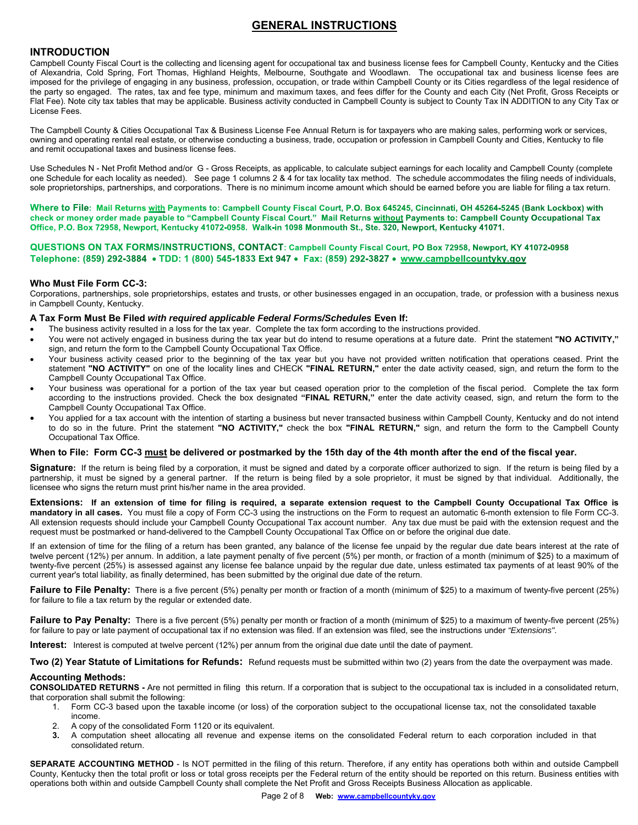## **GENERAL INSTRUCTIONS**

### **INTRODUCTION**

Campbell County Fiscal Court is the collecting and licensing agent for occupational tax and business license fees for Campbell County, Kentucky and the Cities of Alexandria, Cold Spring, Fort Thomas, Highland Heights, Melbourne, Southgate and Woodlawn. The occupational tax and business license fees are imposed for the privilege of engaging in any business, profession, occupation, or trade within Campbell County or its Cities regardless of the legal residence of the party so engaged. The rates, tax and fee type, minimum and maximum taxes, and fees differ for the County and each City (Net Profit, Gross Receipts or Flat Fee). Note city tax tables that may be applicable. Business activity conducted in Campbell County is subject to County Tax IN ADDITION to any City Tax or License Fees.

The Campbell County & Cities Occupational Tax & Business License Fee Annual Return is for taxpayers who are making sales, performing work or services, owning and operating rental real estate, or otherwise conducting a business, trade, occupation or profession in Campbell County and Cities, Kentucky to file and remit occupational taxes and business license fees.

Use Schedules N - Net Profit Method and/or G - Gross Receipts, as applicable, to calculate subject earnings for each locality and Campbell County (complete one Schedule for each locality as needed). See page 1 columns 2 & 4 for tax locality tax method. The schedule accommodates the filing needs of individuals, sole proprietorships, partnerships, and corporations. There is no minimum income amount which should be earned before you are liable for filing a tax return.

Where to File: Mail Returns with Payments to: Campbell County Fiscal Court, P.O. Box 645245, Cincinnati, OH 45264-5245 (Bank Lockbox) with check or money order made payable to "Campbell County Fiscal Court." Mail Returns without Payments to: Campbell County Occupational Tax Office, P.O. Box 72958, Newport, Kentucky 41072-0958. Walk-in 1098 Monmouth St., Ste. 320, Newport, Kentucky 41071.

QUESTIONS ON TAX FORMS/INSTRUCTIONS, CONTACT: Campbell County Fiscal Court, PO Box 72958, Newport, KY 41072-0958 Telephone: (859) 292-3884 • TDD: 1 (800) 545-1833 Ext 947 • Fax: (859) 292-3827 • www.campbellcountyky.gov

#### **Who Must File Form CC-3:**

Corporations, partnerships, sole proprietorships, estates and trusts, or other businesses engaged in an occupation, trade, or profession with a business nexus in Campbell County, Kentucky.

#### **A Tax Form Must Be Filed** *with required applicable Federal Forms/Schedules* **Even If:**

- The business activity resulted in a loss for the tax year. Complete the tax form according to the instructions provided.
- You were not actively engaged in business during the tax year but do intend to resume operations at a future date. Print the statement **"NO ACTIVITY,"**  sign, and return the form to the Campbell County Occupational Tax Office.
- Your business activity ceased prior to the beginning of the tax year but you have not provided written notification that operations ceased. Print the statement **"NO ACTIVITY"** on one of the locality lines and CHECK **"FINAL RETURN,"** enter the date activity ceased, sign, and return the form to the Campbell County Occupational Tax Office.
- Your business was operational for a portion of the tax year but ceased operation prior to the completion of the fiscal period. Complete the tax form according to the instructions provided. Check the box designated **"FINAL RETURN,"** enter the date activity ceased, sign, and return the form to the Campbell County Occupational Tax Office.
- You applied for a tax account with the intention of starting a business but never transacted business within Campbell County, Kentucky and do not intend to do so in the future. Print the statement **"NO ACTIVITY,"** check the box **"FINAL RETURN,"** sign, and return the form to the Campbell County Occupational Tax Office.

#### **When to File: Form CC-3 must be delivered or postmarked by the 15th day of the 4th month after the end of the fiscal year.**

Signature: If the return is being filed by a corporation, it must be signed and dated by a corporate officer authorized to sign. If the return is being filed by a partnership, it must be signed by a general partner. If the return is being filed by a sole proprietor, it must be signed by that individual. Additionally, the licensee who signs the return must print his/her name in the area provided.

**Extensions: If an extension of time for filing is required, a separate extension request to the Campbell County Occupational Tax Office is mandatory in all cases.** You must file a copy of Form CC-3 using the instructions on the Form to request an automatic 6-month extension to file Form CC-3. All extension requests should include your Campbell County Occupational Tax account number. Any tax due must be paid with the extension request and the request must be postmarked or hand-delivered to the Campbell County Occupational Tax Office on or before the original due date.

If an extension of time for the filing of a return has been granted, any balance of the license fee unpaid by the regular due date bears interest at the rate of twelve percent (12%) per annum. In addition, a late payment penalty of five percent (5%) per month, or fraction of a month (minimum of \$25) to a maximum of twenty-five percent (25%) is assessed against any license fee balance unpaid by the regular due date, unless estimated tax payments of at least 90% of the current year's total liability, as finally determined, has been submitted by the original due date of the return.

Failure to File Penalty: There is a five percent (5%) penalty per month or fraction of a month (minimum of \$25) to a maximum of twenty-five percent (25%) for failure to file a tax return by the regular or extended date.

**Failure to Pay Penalty:** There is a five percent (5%) penalty per month or fraction of a month (minimum of \$25) to a maximum of twenty-five percent (25%) for failure to pay or late payment of occupational tax if no extension was filed. If an extension was filed, see the instructions under *"Extensions"*.

**Interest:** Interest is computed at twelve percent (12%) per annum from the original due date until the date of payment.

**Two (2) Year Statute of Limitations for Refunds:** Refund requests must be submitted within two (2) years from the date the overpayment was made.

#### **Accounting Methods:**

**CONSOLIDATED RETURNS -** Are not permitted in filing this return. If a corporation that is subject to the occupational tax is included in a consolidated return, that corporation shall submit the following:

- 1. Form CC-3 based upon the taxable income (or loss) of the corporation subject to the occupational license tax, not the consolidated taxable income.
- 2. A copy of the consolidated Form 1120 or its equivalent.<br>3. A computation sheet allocating all revenue and exper-
- **3.** A computation sheet allocating all revenue and expense items on the consolidated Federal return to each corporation included in that consolidated return.

**SEPARATE ACCOUNTING METHOD** - Is NOT permitted in the filing of this return. Therefore, if any entity has operations both within and outside Campbell County, Kentucky then the total profit or loss or total gross receipts per the Federal return of the entity should be reported on this return. Business entities with operations both within and outside Campbell County shall complete the Net Profit and Gross Receipts Business Allocation as applicable.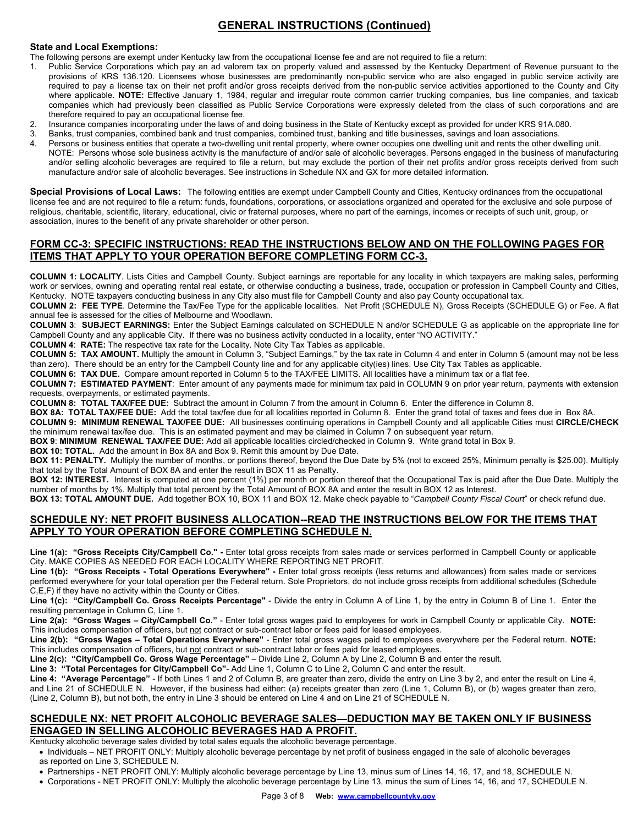# **GENERAL INSTRUCTIONS (Continued)**

#### **State and Local Exemptions:**

- The following persons are exempt under Kentucky law from the occupational license fee and are not required to file a return:
- 1. Public Service Corporations which pay an ad valorem tax on property valued and assessed by the Kentucky Department of Revenue pursuant to the provisions of KRS 136.120. Licensees whose businesses are predominantly non-public service who are also engaged in public service activity are required to pay a license tax on their net profit and/or gross receipts derived from the non-public service activities apportioned to the County and City where applicable. **NOTE:** Effective January 1, 1984, regular and irregular route common carrier trucking companies, bus line companies, and taxicab companies which had previously been classified as Public Service Corporations were expressly deleted from the class of such corporations and are therefore required to pay an occupational license fee.
- 2. Insurance companies incorporating under the laws of and doing business in the State of Kentucky except as provided for under KRS 91A.080.
- 3. Banks, trust companies, combined bank and trust companies, combined trust, banking and title businesses, savings and loan associations.
- Persons or business entities that operate a two-dwelling unit rental property, where owner occupies one dwelling unit and rents the other dwelling unit. NOTE: Persons whose sole business activity is the manufacture of and/or sale of alcoholic beverages. Persons engaged in the business of manufacturing and/or selling alcoholic beverages are required to file a return, but may exclude the portion of their net profits and/or gross receipts derived from such manufacture and/or sale of alcoholic beverages. See instructions in Schedule NX and GX for more detailed information.

**Special Provisions of Local Laws:** The following entities are exempt under Campbell County and Cities, Kentucky ordinances from the occupational license fee and are not required to file a return: funds, foundations, corporations, or associations organized and operated for the exclusive and sole purpose of religious, charitable, scientific, literary, educational, civic or fraternal purposes, where no part of the earnings, incomes or receipts of such unit, group, or association, inures to the benefit of any private shareholder or other person.

#### **FORM CC-3: SPECIFIC INSTRUCTIONS: READ THE INSTRUCTIONS BELOW AND ON THE FOLLOWING PAGES FOR ITEMS THAT APPLY TO YOUR OPERATION BEFORE COMPLETING FORM CC-3.**

**COLUMN 1: LOCALITY**. Lists Cities and Campbell County. Subject earnings are reportable for any locality in which taxpayers are making sales, performing work or services, owning and operating rental real estate, or otherwise conducting a business, trade, occupation or profession in Campbell County and Cities, Kentucky. NOTE taxpayers conducting business in any City also must file for Campbell County and also pay County occupational tax.

**COLUMN 2: FEE TYPE**. Determine the Tax/Fee Type for the applicable localities. Net Profit (SCHEDULE N), Gross Receipts (SCHEDULE G) or Fee. A flat annual fee is assessed for the cities of Melbourne and Woodlawn.

**COLUMN 3**: **SUBJECT EARNINGS:** Enter the Subject Earnings calculated on SCHEDULE N and/or SCHEDULE G as applicable on the appropriate line for Campbell County and any applicable City. If there was no business activity conducted in a locality, enter "NO ACTIVITY."

**COLUMN 4**: **RATE:** The respective tax rate for the Locality. Note City Tax Tables as applicable.

**COLUMN 5: TAX AMOUNT.** Multiply the amount in Column 3, "Subject Earnings," by the tax rate in Column 4 and enter in Column 5 (amount may not be less than zero). There should be an entry for the Campbell County line and for any applicable city(ies) lines. Use City Tax Tables as applicable.

**COLUMN 6: TAX DUE.** Compare amount reported in Column 5 to the TAX/FEE LIMITS. All localities have a minimum tax or a flat fee.

**COLUMN 7: ESTIMATED PAYMENT**: Enter amount of any payments made for minimum tax paid in COLUMN 9 on prior year return, payments with extension requests, overpayments, or estimated payments.

**COLUMN 8: TOTAL TAX/FEE DUE:** Subtract the amount in Column 7 from the amount in Column 6. Enter the difference in Column 8.

**BOX 8A: TOTAL TAX/FEE DUE:** Add the total tax/fee due for all localities reported in Column 8. Enter the grand total of taxes and fees due in Box 8A. **COLUMN 9: MINIMUM RENEWAL TAX/FEE DUE:** All businesses continuing operations in Campbell County and all applicable Cities must **CIRCLE/CHECK**

the minimum renewal tax/fee due. This is an estimated payment and may be claimed in Column 7 on subsequent year return.

**BOX 9**: **MINIMUM RENEWAL TAX/FEE DUE:** Add all applicable localities circled/checked in Column 9. Write grand total in Box 9.

**BOX 10: TOTAL.** Add the amount in Box 8A and Box 9. Remit this amount by Due Date.

**BOX 11: PENALTY.** Multiply the number of months, or portions thereof, beyond the Due Date by 5% (not to exceed 25%, Minimum penalty is \$25.00). Multiply that total by the Total Amount of BOX 8A and enter the result in BOX 11 as Penalty.

**BOX 12: INTEREST.** Interest is computed at one percent (1%) per month or portion thereof that the Occupational Tax is paid after the Due Date. Multiply the number of months by 1%. Multiply that total percent by the Total Amount of BOX 8A and enter the result in BOX 12 as Interest.

**BOX 13: TOTAL AMOUNT DUE.** Add together BOX 10, BOX 11 and BOX 12. Make check payable to "*Campbell County Fiscal Court*" or check refund due.

### **SCHEDULE NY: NET PROFIT BUSINESS ALLOCATION--READ THE INSTRUCTIONS BELOW FOR THE ITEMS THAT APPLY TO YOUR OPERATION BEFORE COMPLETING SCHEDULE N.**

**Line 1(a): "Gross Receipts City/Campbell Co." -** Enter total gross receipts from sales made or services performed in Campbell County or applicable City. MAKE COPIES AS NEEDED FOR EACH LOCALITY WHERE REPORTING NET PROFIT.

Line 1(b): "Gross Receipts - Total Operations Everywhere" - Enter total gross receipts (less returns and allowances) from sales made or services performed everywhere for your total operation per the Federal return. Sole Proprietors, do not include gross receipts from additional schedules (Schedule C,E,F) if they have no activity within the County or Cities.

**Line 1(c): "City/Campbell Co. Gross Receipts Percentage"** - Divide the entry in Column A of Line 1, by the entry in Column B of Line 1. Enter the resulting percentage in Column C, Line 1.

**Line 2(a): "Gross Wages – City/Campbell Co."** - Enter total gross wages paid to employees for work in Campbell County or applicable City. **NOTE:**  This includes compensation of officers, but not contract or sub-contract labor or fees paid for leased employees.

**Line 2(b): "Gross Wages – Total Operations Everywhere"** - Enter total gross wages paid to employees everywhere per the Federal return. **NOTE:** This includes compensation of officers, but not contract or sub-contract labor or fees paid for leased employees.

**Line 2(c): "City/Campbell Co. Gross Wage Percentage"** – Divide Line 2, Column A by Line 2, Column B and enter the result.

**Line 3: "Total Percentages for City/Campbell Co"**- Add Line 1, Column C to Line 2, Column C and enter the result.

**Line 4: "Average Percentage"** - If both Lines 1 and 2 of Column B, are greater than zero, divide the entry on Line 3 by 2, and enter the result on Line 4, and Line 21 of SCHEDULE N. However, if the business had either: (a) receipts greater than zero (Line 1, Column B), or (b) wages greater than zero, (Line 2, Column B), but not both, the entry in Line 3 should be entered on Line 4 and on Line 21 of SCHEDULE N.

#### **SCHEDULE NX: NET PROFIT ALCOHOLIC BEVERAGE SALES—DEDUCTION MAY BE TAKEN ONLY IF BUSINESS ENGAGED IN SELLING ALCOHOLIC BEVERAGES HAD A PROFIT.**

Kentucky alcoholic beverage sales divided by total sales equals the alcoholic beverage percentage.

• Individuals – NET PROFIT ONLY: Multiply alcoholic beverage percentage by net profit of business engaged in the sale of alcoholic beverages as reported on Line 3, SCHEDULE N.

Partnerships - NET PROFIT ONLY: Multiply alcoholic beverage percentage by Line 13, minus sum of Lines 14, 16, 17, and 18, SCHEDULE N.

Corporations - NET PROFIT ONLY: Multiply the alcoholic beverage percentage by Line 13, minus the sum of Lines 14, 16, and 17, SCHEDULE N.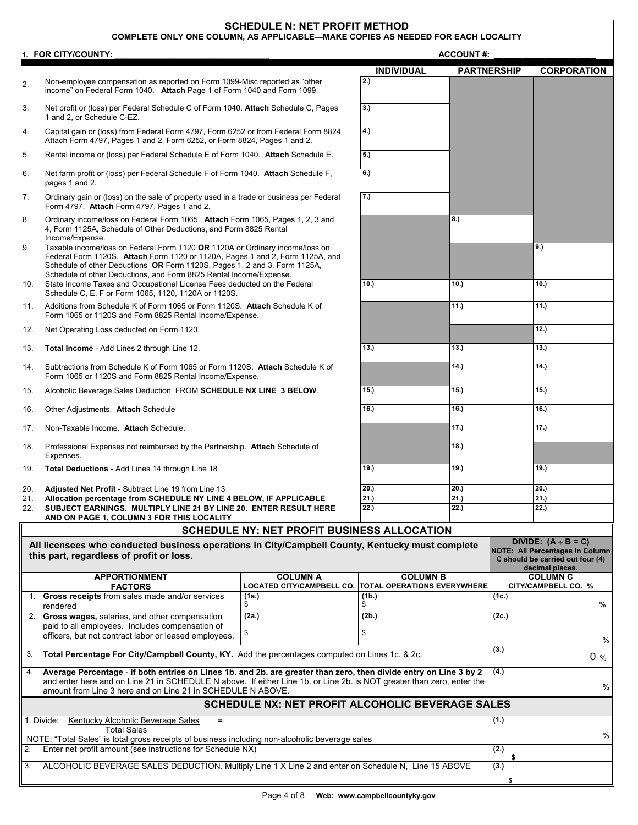## **SCHEDULE N: NET PROFIT METHOD**

## **COMPLETE ONLY ONE COLUMN, AS APPLICABLE—MAKE COPIES AS NEEDED FOR EACH LOCALITY**

|                                                                                                                                                                                                                                                  | 1. FOR CITY/COUNTY:                                                                                                                                                                                                                                                                                              |                                                                | <b>ACCOUNT#:</b>  |             |                                                                                               |                          |  |
|--------------------------------------------------------------------------------------------------------------------------------------------------------------------------------------------------------------------------------------------------|------------------------------------------------------------------------------------------------------------------------------------------------------------------------------------------------------------------------------------------------------------------------------------------------------------------|----------------------------------------------------------------|-------------------|-------------|-----------------------------------------------------------------------------------------------|--------------------------|--|
|                                                                                                                                                                                                                                                  |                                                                                                                                                                                                                                                                                                                  |                                                                | <b>INDIVIDUAL</b> |             | <b>PARTNERSHIP</b>                                                                            | <b>CORPORATION</b>       |  |
| 2.                                                                                                                                                                                                                                               | Non-employee compensation as reported on Form 1099-Misc reported as "other<br>income" on Federal Form 1040. Attach Page 1 of Form 1040 and Form 1099.                                                                                                                                                            | $\overline{2.}$                                                |                   |             |                                                                                               |                          |  |
| 3.                                                                                                                                                                                                                                               | Net profit or (loss) per Federal Schedule C of Form 1040. Attach Schedule C, Pages<br>1 and 2, or Schedule C-EZ.                                                                                                                                                                                                 | 3.)                                                            |                   |             |                                                                                               |                          |  |
| 4.                                                                                                                                                                                                                                               | Capital gain or (loss) from Federal Form 4797, Form 6252 or from Federal Form 8824.<br>Attach Form 4797, Pages 1 and 2, Form 6252, or Form 8824, Pages 1 and 2.                                                                                                                                                  | 4.)                                                            |                   |             |                                                                                               |                          |  |
| 5.                                                                                                                                                                                                                                               | Rental income or (loss) per Federal Schedule E of Form 1040. Attach Schedule E.                                                                                                                                                                                                                                  |                                                                | 5.)               |             |                                                                                               |                          |  |
| 6.                                                                                                                                                                                                                                               | Net farm profit or (loss) per Federal Schedule F of Form 1040. Attach Schedule F,<br>pages 1 and 2.                                                                                                                                                                                                              | 6.)                                                            |                   |             |                                                                                               |                          |  |
| 7.                                                                                                                                                                                                                                               | Ordinary gain or (loss) on the sale of property used in a trade or business per Federal<br>Form 4797. Attach Form 4797, Pages 1 and 2.                                                                                                                                                                           |                                                                | 7.)               |             |                                                                                               |                          |  |
| 8.                                                                                                                                                                                                                                               | Ordinary income/loss on Federal Form 1065. Attach Form 1065, Pages 1, 2, 3 and<br>4, Form 1125A, Schedule of Other Deductions, and Form 8825 Rental<br>Income/Expense.                                                                                                                                           |                                                                |                   | 8.)         |                                                                                               |                          |  |
| 9.                                                                                                                                                                                                                                               | Taxable income/loss on Federal Form 1120 OR 1120A or Ordinary income/loss on<br>Federal Form 1120S. Attach Form 1120 or 1120A, Pages 1 and 2, Form 1125A, and<br>Schedule of other Deductions OR Form 1120S, Pages 1, 2 and 3, Form 1125A,<br>Schedule of other Deductions, and Form 8825 Rental Income/Expense. |                                                                |                   |             | 9.)                                                                                           |                          |  |
| 10.                                                                                                                                                                                                                                              | State Income Taxes and Occupational License Fees deducted on the Federal<br>Schedule C, E, F or Form 1065, 1120, 1120A or 1120S.                                                                                                                                                                                 |                                                                | 10.)              | 10.)        |                                                                                               | 10.                      |  |
| 11.                                                                                                                                                                                                                                              | Additions from Schedule K of Form 1065 or Form 1120S. Attach Schedule K of<br>Form 1065 or 1120S and Form 8825 Rental Income/Expense.                                                                                                                                                                            |                                                                |                   | 11.)        |                                                                                               | 11.)                     |  |
| 12.                                                                                                                                                                                                                                              | Net Operating Loss deducted on Form 1120.                                                                                                                                                                                                                                                                        |                                                                |                   |             |                                                                                               | 12.                      |  |
| 13.                                                                                                                                                                                                                                              | Total Income - Add Lines 2 through Line 12.                                                                                                                                                                                                                                                                      |                                                                | 13.)              | 13.)        |                                                                                               | 13.                      |  |
| 14.                                                                                                                                                                                                                                              | Subtractions from Schedule K of Form 1065 or Form 1120S. Attach Schedule K of<br>Form 1065 or 1120S and Form 8825 Rental Income/Expense.                                                                                                                                                                         |                                                                | 14.)              |             | 14.)                                                                                          |                          |  |
| 15.                                                                                                                                                                                                                                              | Alcoholic Beverage Sales Deduction FROM SCHEDULE NX LINE 3 BELOW.                                                                                                                                                                                                                                                |                                                                | 15.)              | 15.)        |                                                                                               | 15.)                     |  |
| 16.                                                                                                                                                                                                                                              | Other Adjustments. Attach Schedule                                                                                                                                                                                                                                                                               |                                                                | 16.               | 16.)        |                                                                                               | 16.)                     |  |
| 17.                                                                                                                                                                                                                                              | Non-Taxable Income. Attach Schedule.                                                                                                                                                                                                                                                                             |                                                                |                   | 17.)        |                                                                                               | 17.)                     |  |
| 18.                                                                                                                                                                                                                                              | Professional Expenses not reimbursed by the Partnership. Attach Schedule of<br>Expenses.                                                                                                                                                                                                                         |                                                                |                   | 18.         |                                                                                               |                          |  |
| 19.                                                                                                                                                                                                                                              | Total Deductions - Add Lines 14 through Line 18                                                                                                                                                                                                                                                                  |                                                                | 19.)              | 19.)        |                                                                                               | 19.)                     |  |
| 20.                                                                                                                                                                                                                                              | <b>Adjusted Net Profit - Subtract Line 19 from Line 13</b>                                                                                                                                                                                                                                                       |                                                                | 20.)              | 20.         |                                                                                               | 20.)                     |  |
| 21.<br>22.                                                                                                                                                                                                                                       | Allocation percentage from SCHEDULE NY LINE 4 BELOW, IF APPLICABLE<br>SUBJECT EARNINGS. MULTIPLY LINE 21 BY LINE 20. ENTER RESULT HERE                                                                                                                                                                           |                                                                | 21.)<br>22.)      | 21.<br>22.) |                                                                                               | 21.)<br>22.)             |  |
| AND ON PAGE 1, COLUMN 3 FOR THIS LOCALITY<br><b>SCHEDULE NY: NET PROFIT BUSINESS ALLOCATION</b>                                                                                                                                                  |                                                                                                                                                                                                                                                                                                                  |                                                                |                   |             |                                                                                               |                          |  |
|                                                                                                                                                                                                                                                  |                                                                                                                                                                                                                                                                                                                  |                                                                |                   |             |                                                                                               | DIVIDE: $(A \div B = C)$ |  |
|                                                                                                                                                                                                                                                  | All licensees who conducted business operations in City/Campbell County, Kentucky must complete<br>this part, regardless of profit or loss.                                                                                                                                                                      |                                                                |                   |             | <b>NOTE: All Percentages in Column</b><br>C should be carried out four (4)<br>decimal places. |                          |  |
|                                                                                                                                                                                                                                                  | <b>APPORTIONMENT</b>                                                                                                                                                                                                                                                                                             | <b>COLUMN A</b>                                                | <b>COLUMN B</b>   |             |                                                                                               | <b>COLUMN C</b>          |  |
|                                                                                                                                                                                                                                                  | <b>FACTORS</b><br>1. Gross receipts from sales made and/or services                                                                                                                                                                                                                                              | LOCATED CITY/CAMPBELL CO. TOTAL OPERATIONS EVERYWHERE<br>(1a.) | (1b.)             |             | (1c.)                                                                                         | CITY/CAMPBELL CO. %      |  |
|                                                                                                                                                                                                                                                  | rendered                                                                                                                                                                                                                                                                                                         | \$                                                             | \$<br>(2b.)       |             |                                                                                               | %                        |  |
|                                                                                                                                                                                                                                                  | 2. Gross wages, salaries, and other compensation<br>(2a.)<br>paid to all employees. Includes compensation of<br>\$<br>officers, but not contract labor or leased employees.                                                                                                                                      |                                                                | \$                |             | (2c.)                                                                                         | %                        |  |
| 3.                                                                                                                                                                                                                                               | Total Percentage For City/Campbell County, KY. Add the percentages computed on Lines 1c. & 2c.                                                                                                                                                                                                                   |                                                                |                   | (3.)        | 0 <sub>96</sub>                                                                               |                          |  |
| Average Percentage - If both entries on Lines 1b. and 2b. are greater than zero, then divide entry on Line 3 by 2<br>4.<br>and enter here and on Line 21 in SCHEDULE N above. If either Line 1b. or Line 2b. is NOT greater than zero, enter the |                                                                                                                                                                                                                                                                                                                  |                                                                |                   |             | (4.)                                                                                          |                          |  |
|                                                                                                                                                                                                                                                  | amount from Line 3 here and on Line 21 in SCHEDULE N ABOVE.                                                                                                                                                                                                                                                      |                                                                | $\%$              |             |                                                                                               |                          |  |
|                                                                                                                                                                                                                                                  | <b>SCHEDULE NX: NET PROFIT ALCOHOLIC BEVERAGE SALES</b>                                                                                                                                                                                                                                                          |                                                                |                   |             |                                                                                               |                          |  |
| Kentucky Alcoholic Beverage Sales<br>1. Divide:<br>$=$<br><b>Total Sales</b>                                                                                                                                                                     |                                                                                                                                                                                                                                                                                                                  |                                                                |                   | (1.)        |                                                                                               |                          |  |
| 2.                                                                                                                                                                                                                                               | NOTE: "Total Sales" is total gross receipts of business including non-alcoholic beverage sales<br>Enter net profit amount (see instructions for Schedule NX)                                                                                                                                                     |                                                                |                   |             | (2.)<br>\$                                                                                    | %                        |  |
| 3.                                                                                                                                                                                                                                               | ALCOHOLIC BEVERAGE SALES DEDUCTION. Multiply Line 1 X Line 2 and enter on Schedule N, Line 15 ABOVE                                                                                                                                                                                                              |                                                                |                   |             |                                                                                               |                          |  |
|                                                                                                                                                                                                                                                  |                                                                                                                                                                                                                                                                                                                  |                                                                |                   |             | \$                                                                                            |                          |  |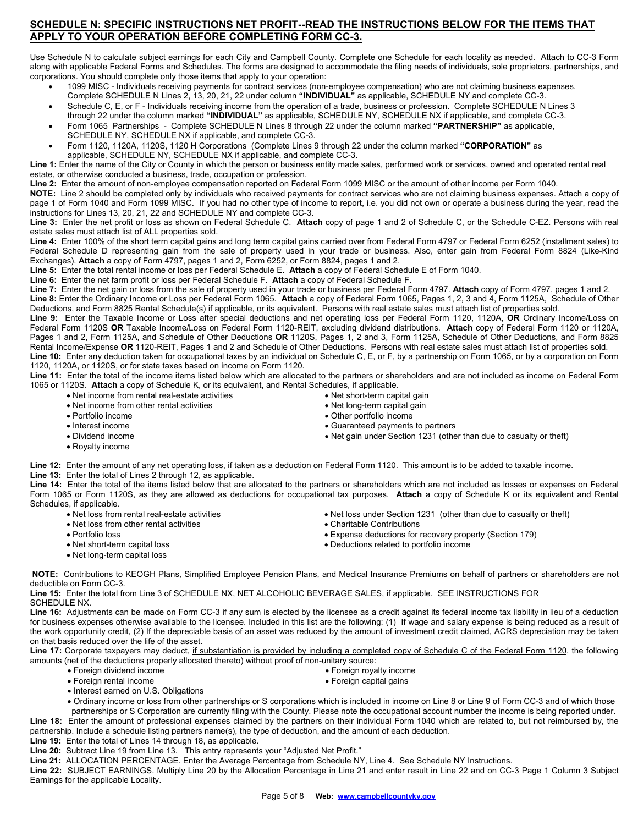## **SCHEDULE N: SPECIFIC INSTRUCTIONS NET PROFIT--READ THE INSTRUCTIONS BELOW FOR THE ITEMS THAT APPLY TO YOUR OPERATION BEFORE COMPLETING FORM CC-3.**

Use Schedule N to calculate subject earnings for each City and Campbell County. Complete one Schedule for each locality as needed. Attach to CC-3 Form along with applicable Federal Forms and Schedules. The forms are designed to accommodate the filing needs of individuals, sole proprietors, partnerships, and corporations. You should complete only those items that apply to your operation:

- 1099 MISC Individuals receiving payments for contract services (non-employee compensation) who are not claiming business expenses. Complete SCHEDULE N Lines 2, 13, 20, 21, 22 under column **"INDIVIDUAL"** as applicable, SCHEDULE NY and complete CC-3.
- Schedule C, E, or F Individuals receiving income from the operation of a trade, business or profession. Complete SCHEDULE N Lines 3 through 22 under the column marked **"INDIVIDUAL"** as applicable, SCHEDULE NY, SCHEDULE NX if applicable, and complete CC-3.
- Form 1065 Partnerships Complete SCHEDULE N Lines 8 through 22 under the column marked **"PARTNERSHIP"** as applicable, SCHEDULE NY, SCHEDULE NX if applicable, and complete CC-3.
- Form 1120, 1120A, 1120S, 1120 H Corporations (Complete Lines 9 through 22 under the column marked **"CORPORATION"** as applicable, SCHEDULE NY, SCHEDULE NX if applicable, and complete CC-3.

**Line 1:** Enter the name of the City or County in which the person or business entity made sales, performed work or services, owned and operated rental real estate, or otherwise conducted a business, trade, occupation or profession.

**Line 2:** Enter the amount of non-employee compensation reported on Federal Form 1099 MISC or the amount of other income per Form 1040.

**NOTE:** Line 2 should be completed only by individuals who received payments for contract services who are not claiming business expenses. Attach a copy of page 1 of Form 1040 and Form 1099 MISC. If you had no other type of income to report, i.e. you did not own or operate a business during the year, read the instructions for Lines 13, 20, 21, 22 and SCHEDULE NY and complete CC-3.

**Line 3:** Enter the net profit or loss as shown on Federal Schedule C. **Attach** copy of page 1 and 2 of Schedule C, or the Schedule C-EZ. Persons with real estate sales must attach list of ALL properties sold.

**Line 4:** Enter 100% of the short term capital gains and long term capital gains carried over from Federal Form 4797 or Federal Form 6252 (installment sales) to Federal Schedule D representing gain from the sale of property used in your trade or business. Also, enter gain from Federal Form 8824 (Like-Kind Exchanges). **Attach** a copy of Form 4797, pages 1 and 2, Form 6252, or Form 8824, pages 1 and 2.

**Line 5:** Enter the total rental income or loss per Federal Schedule E. **Attach** a copy of Federal Schedule E of Form 1040.

**Line 6:** Enter the net farm profit or loss per Federal Schedule F. **Attach** a copy of Federal Schedule F.

**Line 7:** Enter the net gain or loss from the sale of property used in your trade or business per Federal Form 4797. **Attach** copy of Form 4797, pages 1 and 2. **Line 8:** Enter the Ordinary Income or Loss per Federal Form 1065. **Attach** a copy of Federal Form 1065, Pages 1, 2, 3 and 4, Form 1125A, Schedule of Other Deductions, and Form 8825 Rental Schedule(s) if applicable, or its equivalent. Persons with real estate sales must attach list of properties sold.

**Line 9:** Enter the Taxable Income or Loss after special deductions and net operating loss per Federal Form 1120, 1120A, **OR** Ordinary Income/Loss on Federal Form 1120S **OR** Taxable Income/Loss on Federal Form 1120-REIT, excluding dividend distributions. **Attach** copy of Federal Form 1120 or 1120A, Pages 1 and 2, Form 1125A, and Schedule of Other Deductions **OR** 1120S, Pages 1, 2 and 3, Form 1125A, Schedule of Other Deductions, and Form 8825 Rental Income/Expense **OR** 1120-REIT, Pages 1 and 2 and Schedule of Other Deductions. Persons with real estate sales must attach list of properties sold. **Line 10:** Enter any deduction taken for occupational taxes by an individual on Schedule C, E, or F, by a partnership on Form 1065, or by a corporation on Form 1120, 1120A, or 1120S, or for state taxes based on income on Form 1120.

**Line 11:** Enter the total of the income items listed below which are allocated to the partners or shareholders and are not included as income on Federal Form 1065 or 1120S. **Attach** a copy of Schedule K, or its equivalent, and Rental Schedules, if applicable.

- Net income from rental real-estate activities
- Net income from other rental activities
- Portfolio income
- Interest income
- Dividend income
- Royalty income
- Net short-term capital gain Net long-term capital gain
- Other portfolio income
- Guaranteed payments to partners
- Net gain under Section 1231 (other than due to casualty or theft)

**Line 12:** Enter the amount of any net operating loss, if taken as a deduction on Federal Form 1120. This amount is to be added to taxable income. **Line 13:** Enter the total of Lines 2 through 12, as applicable.

**Line 14:** Enter the total of the items listed below that are allocated to the partners or shareholders which are not included as losses or expenses on Federal Form 1065 or Form 1120S, as they are allowed as deductions for occupational tax purposes. **Attach** a copy of Schedule K or its equivalent and Rental Schedules, if applicable.

- Net loss from rental real-estate activities
- Net loss from other rental activities
- Portfolio loss
- Net short-term capital loss
- Net long-term capital loss
- Net loss under Section 1231 (other than due to casualty or theft)
- Charitable Contributions
- Expense deductions for recovery property (Section 179)
- Deductions related to portfolio income

 **NOTE:** Contributions to KEOGH Plans, Simplified Employee Pension Plans, and Medical Insurance Premiums on behalf of partners or shareholders are not deductible on Form CC-3.

**Line 15:** Enter the total from Line 3 of SCHEDULE NX, NET ALCOHOLIC BEVERAGE SALES, if applicable. SEE INSTRUCTIONS FOR SCHEDULE NX.

**Line 16:** Adjustments can be made on Form CC-3 if any sum is elected by the licensee as a credit against its federal income tax liability in lieu of a deduction for business expenses otherwise available to the licensee. Included in this list are the following: (1) If wage and salary expense is being reduced as a result of the work opportunity credit, (2) If the depreciable basis of an asset was reduced by the amount of investment credit claimed, ACRS depreciation may be taken on that basis reduced over the life of the asset.

Line 17: Corporate taxpayers may deduct, if substantiation is provided by including a completed copy of Schedule C of the Federal Form 1120, the following amounts (net of the deductions properly allocated thereto) without proof of non-unitary source:

- Foreign dividend income Foreign royalty income
- Foreign rental income Foreign capital gains
- 

- Interest earned on U.S. Obligations
- Ordinary income or loss from other partnerships or S corporations which is included in income on Line 8 or Line 9 of Form CC-3 and of which those partnerships or S Corporation are currently filing with the County. Please note the occupational account number the income is being reported under.

**Line 18:** Enter the amount of professional expenses claimed by the partners on their individual Form 1040 which are related to, but not reimbursed by, the partnership. Include a schedule listing partners name(s), the type of deduction, and the amount of each deduction.

**Line 19:** Enter the total of Lines 14 through 18, as applicable.

**Line 20:** Subtract Line 19 from Line 13. This entry represents your "Adjusted Net Profit."

**Line 21:** ALLOCATION PERCENTAGE. Enter the Average Percentage from Schedule NY, Line 4. See Schedule NY Instructions.

**Line 22:** SUBJECT EARNINGS. Multiply Line 20 by the Allocation Percentage in Line 21 and enter result in Line 22 and on CC-3 Page 1 Column 3 Subject Earnings for the applicable Locality.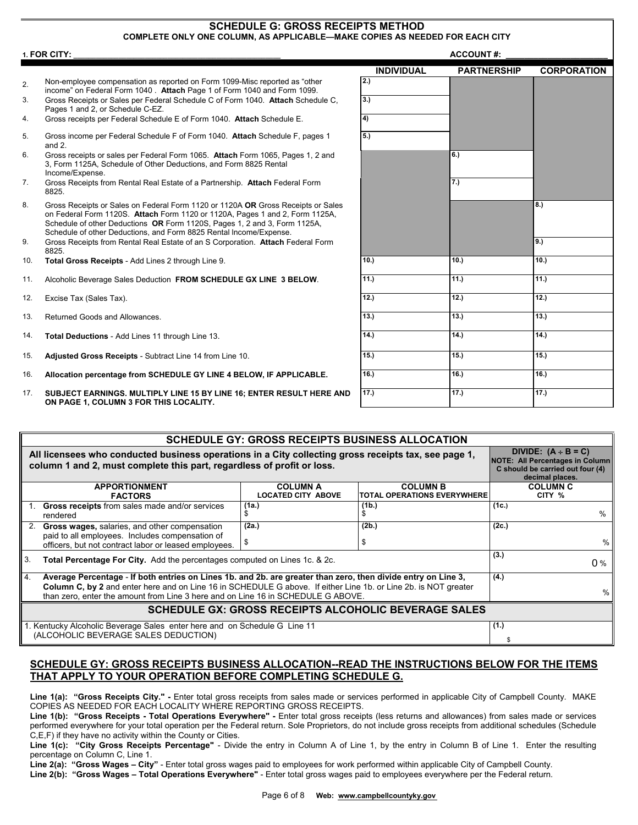#### **SCHEDULE G: GROSS RECEIPTS METHOD COMPLETE ONLY ONE COLUMN, AS APPLICABLE—MAKE COPIES AS NEEDED FOR EACH CITY**

|                | 1. FOR CITY:                                                                                                                                                                                                                                                                                                        | <b>ACCOUNT#:</b>  |                    |                    |
|----------------|---------------------------------------------------------------------------------------------------------------------------------------------------------------------------------------------------------------------------------------------------------------------------------------------------------------------|-------------------|--------------------|--------------------|
|                |                                                                                                                                                                                                                                                                                                                     | <b>INDIVIDUAL</b> | <b>PARTNERSHIP</b> | <b>CORPORATION</b> |
| 2.             | Non-employee compensation as reported on Form 1099-Misc reported as "other<br>income" on Federal Form 1040. Attach Page 1 of Form 1040 and Form 1099.                                                                                                                                                               | 2.)               |                    |                    |
| 3.             | Gross Receipts or Sales per Federal Schedule C of Form 1040. Attach Schedule C.<br>Pages 1 and 2, or Schedule C-EZ.                                                                                                                                                                                                 | 3.                |                    |                    |
| 4.             | Gross receipts per Federal Schedule E of Form 1040. Attach Schedule E.                                                                                                                                                                                                                                              | 4)                |                    |                    |
| 5.             | Gross income per Federal Schedule F of Form 1040. Attach Schedule F, pages 1<br>and $2$ .                                                                                                                                                                                                                           | 5.)               |                    |                    |
| 6.             | Gross receipts or sales per Federal Form 1065. Attach Form 1065, Pages 1, 2 and<br>3, Form 1125A, Schedule of Other Deductions, and Form 8825 Rental<br>Income/Expense.                                                                                                                                             |                   | 6.)                |                    |
| 7 <sub>1</sub> | Gross Receipts from Rental Real Estate of a Partnership. Attach Federal Form<br>8825.                                                                                                                                                                                                                               |                   | 7.)                |                    |
| 8.             | Gross Receipts or Sales on Federal Form 1120 or 1120A OR Gross Receipts or Sales<br>on Federal Form 1120S. Attach Form 1120 or 1120A, Pages 1 and 2, Form 1125A,<br>Schedule of other Deductions OR Form 1120S, Pages 1, 2 and 3, Form 1125A,<br>Schedule of other Deductions, and Form 8825 Rental Income/Expense. |                   |                    | 8.                 |
| 9.             | Gross Receipts from Rental Real Estate of an S Corporation. Attach Federal Form<br>8825.                                                                                                                                                                                                                            |                   |                    | 9.)                |
| 10.            | Total Gross Receipts - Add Lines 2 through Line 9.                                                                                                                                                                                                                                                                  | 10.               | 10.                | 10.                |
| 11.            | Alcoholic Beverage Sales Deduction FROM SCHEDULE GX LINE 3 BELOW.                                                                                                                                                                                                                                                   | 11.)              | 11.)               | 11.)               |
| 12.            | Excise Tax (Sales Tax).                                                                                                                                                                                                                                                                                             | 12.               | 12.                | 12.                |
| 13.            | Returned Goods and Allowances.                                                                                                                                                                                                                                                                                      | 13.)              | 13.)               | 13.)               |
| 14.            | Total Deductions - Add Lines 11 through Line 13.                                                                                                                                                                                                                                                                    | 14.               | 14.                | 14.                |
| 15.            | Adjusted Gross Receipts - Subtract Line 14 from Line 10.                                                                                                                                                                                                                                                            | 15.               | 15.)               | 15.)               |
| 16.            | Allocation percentage from SCHEDULE GY LINE 4 BELOW, IF APPLICABLE.                                                                                                                                                                                                                                                 | 16.               | 16.)               | 16.                |
| 17.            | SUBJECT EARNINGS. MULTIPLY LINE 15 BY LINE 16; ENTER RESULT HERE AND<br>ON PAGE 1, COLUMN 3 FOR THIS LOCALITY.                                                                                                                                                                                                      | 17.)              | 17.)               | 17.)               |
|                |                                                                                                                                                                                                                                                                                                                     |                   |                    |                    |

|                                                      | <b>SCHEDULE GY: GROSS RECEIPTS BUSINESS ALLOCATION</b>                                                                                                                         |                                                                                                                        |                                    |                 |  |  |
|------------------------------------------------------|--------------------------------------------------------------------------------------------------------------------------------------------------------------------------------|------------------------------------------------------------------------------------------------------------------------|------------------------------------|-----------------|--|--|
|                                                      | All licensees who conducted business operations in a City collecting gross receipts tax, see page 1,<br>column 1 and 2, must complete this part, regardless of profit or loss. | DIVIDE: $(A + B = C)$<br><b>NOTE: All Percentages in Column</b><br>C should be carried out four (4)<br>decimal places. |                                    |                 |  |  |
|                                                      | <b>APPORTIONMENT</b>                                                                                                                                                           | <b>COLUMN A</b>                                                                                                        | <b>COLUMN B</b>                    | <b>COLUMN C</b> |  |  |
|                                                      | <b>FACTORS</b>                                                                                                                                                                 | <b>LOCATED CITY ABOVE</b>                                                                                              | <b>TOTAL OPERATIONS EVERYWHERE</b> | CITY %          |  |  |
|                                                      | <b>Gross receipts</b> from sales made and/or services<br>rendered                                                                                                              | (1a.)                                                                                                                  | (1b.)                              | (1c.)<br>$\%$   |  |  |
|                                                      | Gross wages, salaries, and other compensation                                                                                                                                  | (2a.)                                                                                                                  | (2b.)                              | (2c.)           |  |  |
|                                                      | paid to all employees. Includes compensation of                                                                                                                                |                                                                                                                        |                                    |                 |  |  |
|                                                      | officers, but not contract labor or leased employees.                                                                                                                          | \$                                                                                                                     |                                    | $\%$            |  |  |
| 3.                                                   | Total Percentage For City. Add the percentages computed on Lines 1c. & 2c.                                                                                                     | (3.)<br>0%                                                                                                             |                                    |                 |  |  |
| 4.                                                   | Average Percentage - If both entries on Lines 1b. and 2b. are greater than zero, then divide entry on Line 3,                                                                  | (4.)                                                                                                                   |                                    |                 |  |  |
|                                                      | Column C, by 2 and enter here and on Line 16 in SCHEDULE G above. If either Line 1b. or Line 2b. is NOT greater                                                                | %                                                                                                                      |                                    |                 |  |  |
|                                                      | than zero, enter the amount from Line 3 here and on Line 16 in SCHEDULE G ABOVE.                                                                                               |                                                                                                                        |                                    |                 |  |  |
| SCHEDULE GX: GROSS RECEIPTS ALCOHOLIC BEVERAGE SALES |                                                                                                                                                                                |                                                                                                                        |                                    |                 |  |  |
|                                                      | 1. Kentucky Alcoholic Beverage Sales enter here and on Schedule G Line 11                                                                                                      | (1.)                                                                                                                   |                                    |                 |  |  |
|                                                      | (ALCOHOLIC BEVERAGE SALES DEDUCTION)                                                                                                                                           |                                                                                                                        |                                    |                 |  |  |

## **SCHEDULE GY: GROSS RECEIPTS BUSINESS ALLOCATION--READ THE INSTRUCTIONS BELOW FOR THE ITEMS THAT APPLY TO YOUR OPERATION BEFORE COMPLETING SCHEDULE G.**

**Line 1(a): "Gross Receipts City." -** Enter total gross receipts from sales made or services performed in applicable City of Campbell County. MAKE COPIES AS NEEDED FOR EACH LOCALITY WHERE REPORTING GROSS RECEIPTS.

Line 1(b): "Gross Receipts - Total Operations Everywhere" - Enter total gross receipts (less returns and allowances) from sales made or services performed everywhere for your total operation per the Federal return. Sole Proprietors, do not include gross receipts from additional schedules (Schedule C,E,F) if they have no activity within the County or Cities.

**Line 1(c): "City Gross Receipts Percentage"** - Divide the entry in Column A of Line 1, by the entry in Column B of Line 1. Enter the resulting percentage on Column C, Line 1.

**Line 2(a): "Gross Wages – City"** - Enter total gross wages paid to employees for work performed within applicable City of Campbell County.

**Line 2(b): "Gross Wages – Total Operations Everywhere"** - Enter total gross wages paid to employees everywhere per the Federal return.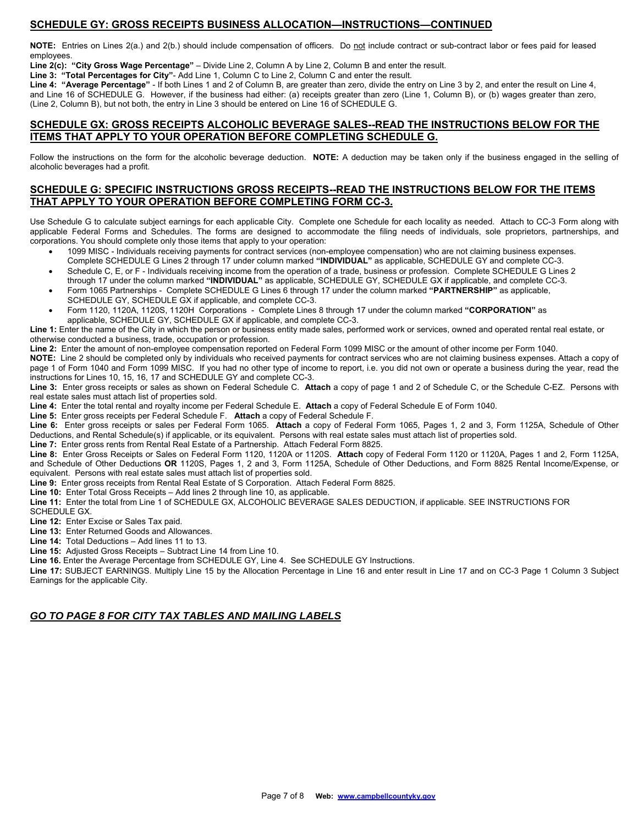### **SCHEDULE GY: GROSS RECEIPTS BUSINESS ALLOCATION—INSTRUCTIONS—CONTINUED**

**NOTE:** Entries on Lines 2(a.) and 2(b.) should include compensation of officers. Do not include contract or sub-contract labor or fees paid for leased employees.

**Line 2(c): "City Gross Wage Percentage"** – Divide Line 2, Column A by Line 2, Column B and enter the result.

**Line 3: "Total Percentages for City"**- Add Line 1, Column C to Line 2, Column C and enter the result.

**Line 4: "Average Percentage"** - If both Lines 1 and 2 of Column B, are greater than zero, divide the entry on Line 3 by 2, and enter the result on Line 4, and Line 16 of SCHEDULE G. However, if the business had either: (a) receipts greater than zero (Line 1, Column B), or (b) wages greater than zero, (Line 2, Column B), but not both, the entry in Line 3 should be entered on Line 16 of SCHEDULE G.

#### **SCHEDULE GX: GROSS RECEIPTS ALCOHOLIC BEVERAGE SALES--READ THE INSTRUCTIONS BELOW FOR THE ITEMS THAT APPLY TO YOUR OPERATION BEFORE COMPLETING SCHEDULE G.**

Follow the instructions on the form for the alcoholic beverage deduction. **NOTE:** A deduction may be taken only if the business engaged in the selling of alcoholic beverages had a profit.

## **SCHEDULE G: SPECIFIC INSTRUCTIONS GROSS RECEIPTS--READ THE INSTRUCTIONS BELOW FOR THE ITEMS THAT APPLY TO YOUR OPERATION BEFORE COMPLETING FORM CC-3.**

Use Schedule G to calculate subject earnings for each applicable City. Complete one Schedule for each locality as needed. Attach to CC-3 Form along with applicable Federal Forms and Schedules. The forms are designed to accommodate the filing needs of individuals, sole proprietors, partnerships, and corporations. You should complete only those items that apply to your operation:

- 1099 MISC Individuals receiving payments for contract services (non-employee compensation) who are not claiming business expenses.
- Complete SCHEDULE G Lines 2 through 17 under column marked **"INDIVIDUAL"** as applicable, SCHEDULE GY and complete CC-3.
- Schedule C, E, or F Individuals receiving income from the operation of a trade, business or profession. Complete SCHEDULE G Lines 2 through 17 under the column marked **"INDIVIDUAL"** as applicable, SCHEDULE GY, SCHEDULE GX if applicable, and complete CC-3.
- Form 1065 Partnerships Complete SCHEDULE G Lines 6 through 17 under the column marked **"PARTNERSHIP"** as applicable, SCHEDULE GY, SCHEDULE GX if applicable, and complete CC-3.
- Form 1120, 1120A, 1120S, 1120H Corporations Complete Lines 8 through 17 under the column marked **"CORPORATION"** as applicable, SCHEDULE GY, SCHEDULE GX if applicable, and complete CC-3.

**Line 1:** Enter the name of the City in which the person or business entity made sales, performed work or services, owned and operated rental real estate, or otherwise conducted a business, trade, occupation or profession.

**Line 2:** Enter the amount of non-employee compensation reported on Federal Form 1099 MISC or the amount of other income per Form 1040.

**NOTE:** Line 2 should be completed only by individuals who received payments for contract services who are not claiming business expenses. Attach a copy of page 1 of Form 1040 and Form 1099 MISC. If you had no other type of income to report, i.e. you did not own or operate a business during the year, read the instructions for Lines 10, 15, 16, 17 and SCHEDULE GY and complete CC-3.

**Line 3:** Enter gross receipts or sales as shown on Federal Schedule C. **Attach** a copy of page 1 and 2 of Schedule C, or the Schedule C-EZ. Persons with real estate sales must attach list of properties sold.

**Line 4:** Enter the total rental and royalty income per Federal Schedule E. **Attach** a copy of Federal Schedule E of Form 1040.

**Line 5:** Enter gross receipts per Federal Schedule F. **Attach** a copy of Federal Schedule F.

**Line 6:** Enter gross receipts or sales per Federal Form 1065. **Attach** a copy of Federal Form 1065, Pages 1, 2 and 3, Form 1125A, Schedule of Other Deductions, and Rental Schedule(s) if applicable, or its equivalent. Persons with real estate sales must attach list of properties sold.

**Line 7:** Enter gross rents from Rental Real Estate of a Partnership. Attach Federal Form 8825.

**Line 8:** Enter Gross Receipts or Sales on Federal Form 1120, 1120A or 1120S. **Attach** copy of Federal Form 1120 or 1120A, Pages 1 and 2, Form 1125A, and Schedule of Other Deductions **OR** 1120S, Pages 1, 2 and 3, Form 1125A, Schedule of Other Deductions, and Form 8825 Rental Income/Expense, or equivalent. Persons with real estate sales must attach list of properties sold.

**Line 9:** Enter gross receipts from Rental Real Estate of S Corporation. Attach Federal Form 8825.

**Line 10:** Enter Total Gross Receipts – Add lines 2 through line 10, as applicable.

**Line 11:** Enter the total from Line 1 of SCHEDULE GX, ALCOHOLIC BEVERAGE SALES DEDUCTION, if applicable. SEE INSTRUCTIONS FOR SCHEDULE GX.

**Line 12:** Enter Excise or Sales Tax paid.

**Line 13:** Enter Returned Goods and Allowances.

**Line 14:** Total Deductions – Add lines 11 to 13.

**Line 15:** Adjusted Gross Receipts – Subtract Line 14 from Line 10.

**Line 16.** Enter the Average Percentage from SCHEDULE GY, Line 4. See SCHEDULE GY Instructions.

**Line 17:** SUBJECT EARNINGS. Multiply Line 15 by the Allocation Percentage in Line 16 and enter result in Line 17 and on CC-3 Page 1 Column 3 Subject Earnings for the applicable City.

### *GO TO PAGE 8 FOR CITY TAX TABLES AND MAILING LABELS*